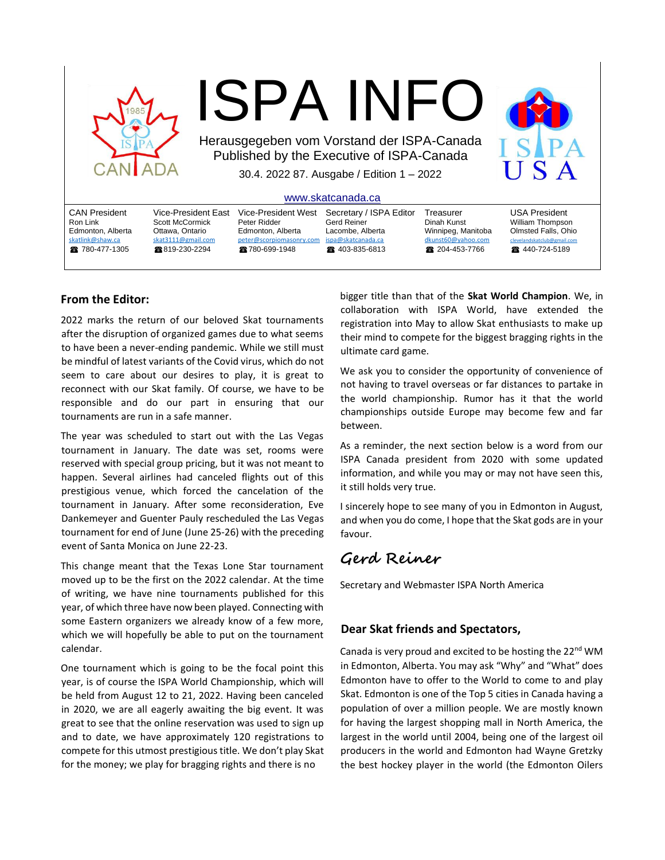

# ISPA INFO

Herausgegeben vom Vorstand der ISPA-Canada Published by the Executive of ISPA-Canada 30.4. 2022 87. Ausgabe / Edition 1 – 2022

[www.skatcanada.ca](http://www.skatcanada.ca/)

|                                                                                              |                                                                                                          |                                                                                                        | ,,,,,,,,,,,,,,,,,,,,,,,,,,,                                                                         |                                                                                      |                                                                                                                  |
|----------------------------------------------------------------------------------------------|----------------------------------------------------------------------------------------------------------|--------------------------------------------------------------------------------------------------------|-----------------------------------------------------------------------------------------------------|--------------------------------------------------------------------------------------|------------------------------------------------------------------------------------------------------------------|
| <b>CAN President</b><br>Ron Link<br>Edmonton, Alberta<br>skatlink@shaw.ca<br>28 780-477-1305 | Vice-President East<br>Scott McCormick<br>Ottawa. Ontario<br>skat3111@gmail.com<br><b>@ 819-230-2294</b> | Vice-President West<br>Peter Ridder<br>Edmonton, Alberta<br>peter@scorpiomasonry.com<br>28780-699-1948 | Secretary / ISPA Editor<br>Gerd Reiner<br>Lacombe, Alberta<br>ispa@skatcanada.ca<br>28 403-835-6813 | Treasurer<br>Dinah Kunst<br>Winnipeg, Manitoba<br>dkunst60@yahoo.com<br>204-453-7766 | <b>USA President</b><br>William Thompson<br>Olmsted Falls, Ohio<br>clevelandskatclub@gmail.com<br>■ 440-724-5189 |
|                                                                                              |                                                                                                          |                                                                                                        |                                                                                                     |                                                                                      |                                                                                                                  |

## **From the Editor:**

2022 marks the return of our beloved Skat tournaments after the disruption of organized games due to what seems to have been a never-ending pandemic. While we still must be mindful of latest variants of the Covid virus, which do not seem to care about our desires to play, it is great to reconnect with our Skat family. Of course, we have to be responsible and do our part in ensuring that our tournaments are run in a safe manner.

The year was scheduled to start out with the Las Vegas tournament in January. The date was set, rooms were reserved with special group pricing, but it was not meant to happen. Several airlines had canceled flights out of this prestigious venue, which forced the cancelation of the tournament in January. After some reconsideration, Eve Dankemeyer and Guenter Pauly rescheduled the Las Vegas tournament for end of June (June 25-26) with the preceding event of Santa Monica on June 22-23.

This change meant that the Texas Lone Star tournament moved up to be the first on the 2022 calendar. At the time of writing, we have nine tournaments published for this year, of which three have now been played. Connecting with some Eastern organizers we already know of a few more, which we will hopefully be able to put on the tournament calendar.

One tournament which is going to be the focal point this year, is of course the ISPA World Championship, which will be held from August 12 to 21, 2022. Having been canceled in 2020, we are all eagerly awaiting the big event. It was great to see that the online reservation was used to sign up and to date, we have approximately 120 registrations to compete for this utmost prestigious title. We don't play Skat for the money; we play for bragging rights and there is no

bigger title than that of the **Skat World Champion**. We, in collaboration with ISPA World, have extended the registration into May to allow Skat enthusiasts to make up their mind to compete for the biggest bragging rights in the ultimate card game.

We ask you to consider the opportunity of convenience of not having to travel overseas or far distances to partake in the world championship. Rumor has it that the world championships outside Europe may become few and far between.

As a reminder, the next section below is a word from our ISPA Canada president from 2020 with some updated information, and while you may or may not have seen this, it still holds very true.

I sincerely hope to see many of you in Edmonton in August, and when you do come, I hope that the Skat gods are in your favour.

# **Gerd Reiner**

Secretary and Webmaster ISPA North America

# **Dear Skat friends and Spectators,**

Canada is very proud and excited to be hosting the 22<sup>nd</sup> WM in Edmonton, Alberta. You may ask "Why" and "What" does Edmonton have to offer to the World to come to and play Skat. Edmonton is one of the Top 5 cities in Canada having a population of over a million people. We are mostly known for having the largest shopping mall in North America, the largest in the world until 2004, being one of the largest oil producers in the world and Edmonton had Wayne Gretzky the best hockey player in the world (the Edmonton Oilers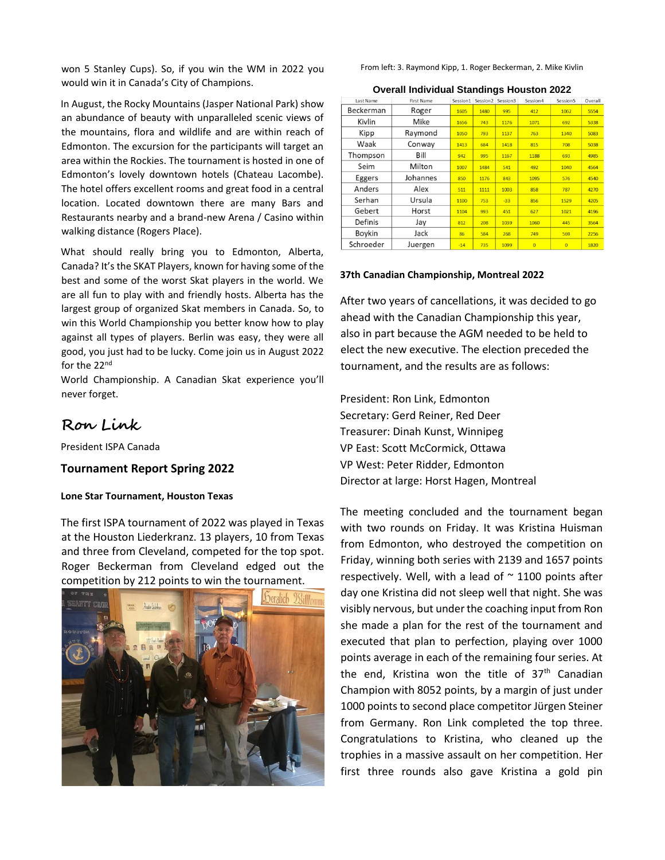won 5 Stanley Cups). So, if you win the WM in 2022 you would win it in Canada's City of Champions.

In August, the Rocky Mountains (Jasper National Park) show an abundance of beauty with unparalleled scenic views of the mountains, flora and wildlife and are within reach of Edmonton. The excursion for the participants will target an area within the Rockies. The tournament is hosted in one of Edmonton's lovely downtown hotels (Chateau Lacombe). The hotel offers excellent rooms and great food in a central location. Located downtown there are many Bars and Restaurants nearby and a brand-new Arena / Casino within walking distance (Rogers Place).

What should really bring you to Edmonton, Alberta, Canada? It's the SKAT Players, known for having some of the best and some of the worst Skat players in the world. We are all fun to play with and friendly hosts. Alberta has the largest group of organized Skat members in Canada. So, to win this World Championship you better know how to play against all types of players. Berlin was easy, they were all good, you just had to be lucky. Come join us in August 2022 for the 22<sup>nd</sup>

World Championship. A Canadian Skat experience you'll never forget.

# **Ron Link**

President ISPA Canada

### **Tournament Report Spring 2022**

#### **Lone Star Tournament, Houston Texas**

The first ISPA tournament of 2022 was played in Texas at the Houston Liederkranz. 13 players, 10 from Texas and three from Cleveland, competed for the top spot. Roger Beckerman from Cleveland edged out the competition by 212 points to win the tournament.



From left: 3. Raymond Kipp, 1. Roger Beckerman, 2. Mike Kivlin

#### **Overall Individual Standings Houston 2022**

| Last Name | <b>First Name</b> | Session1 | Session <sub>2</sub> | Session3 | Session 4      | Session5       | Overall |
|-----------|-------------------|----------|----------------------|----------|----------------|----------------|---------|
| Beckerman | Roger             | 1605     | 1480                 | 995      | 412            | 1062           | 5554    |
| Kivlin    | Mike              | 1656     | 743                  | 1176     | 1071           | 692            | 5338    |
| Kipp      | Raymond           | 1050     | 793                  | 1137     | 763            | 1340           | 5083    |
| Waak      | Conway            | 1413     | 684                  | 1418     | 815            | 708            | 5038    |
| Thompson  | Bill              | 942      | 995                  | 1167     | 1188           | 693            | 4985    |
| Seim      | Milton            | 1007     | 1484                 | 541      | 492            | 1040           | 4564    |
| Eggers    | Johannes          | 850      | 1176                 | 843      | 1095           | 576            | 4540    |
| Anders    | Alex              | 511      | 1111                 | 1003     | 858            | 787            | 4270    |
| Serhan    | Ursula            | 1100     | 753                  | $-33$    | 856            | 1529           | 4205    |
| Gebert    | Horst             | 1104     | 993                  | 451      | 627            | 1021           | 4196    |
| Definis   | Jay               | 812      | 208                  | 1039     | 1060           | 445            | 3564    |
| Boykin    | Jack              | 86       | 584                  | 268      | 749            | 569            | 2256    |
| Schroeder | Juergen           | $-14$    | 735                  | 1099     | $\overline{0}$ | $\overline{0}$ | 1820    |

#### **37th Canadian Championship, Montreal 2022**

After two years of cancellations, it was decided to go ahead with the Canadian Championship this year, also in part because the AGM needed to be held to elect the new executive. The election preceded the tournament, and the results are as follows:

President: Ron Link, Edmonton Secretary: Gerd Reiner, Red Deer Treasurer: Dinah Kunst, Winnipeg VP East: Scott McCormick, Ottawa VP West: Peter Ridder, Edmonton Director at large: Horst Hagen, Montreal

The meeting concluded and the tournament began with two rounds on Friday. It was Kristina Huisman from Edmonton, who destroyed the competition on Friday, winning both series with 2139 and 1657 points respectively. Well, with a lead of  $\sim$  1100 points after day one Kristina did not sleep well that night. She was visibly nervous, but under the coaching input from Ron she made a plan for the rest of the tournament and executed that plan to perfection, playing over 1000 points average in each of the remaining four series. At the end, Kristina won the title of  $37<sup>th</sup>$  Canadian Champion with 8052 points, by a margin of just under 1000 points to second place competitor Jürgen Steiner from Germany. Ron Link completed the top three. Congratulations to Kristina, who cleaned up the trophies in a massive assault on her competition. Her first three rounds also gave Kristina a gold pin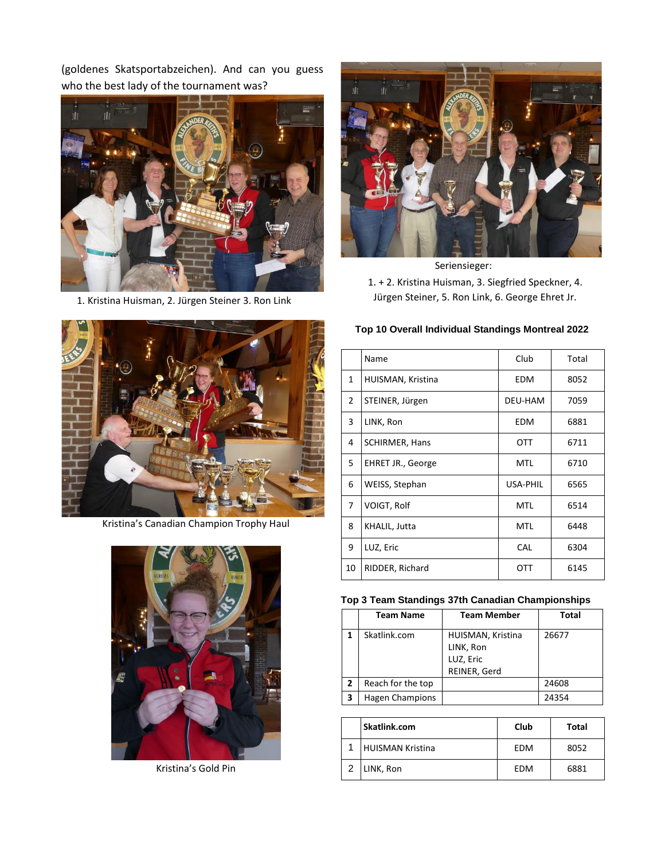(goldenes Skatsportabzeichen). And can you guess who the best lady of the tournament was?



1. Kristina Huisman, 2. Jürgen Steiner 3. Ron Link



Seriensieger: 1. + 2. Kristina Huisman, 3. Siegfried Speckner, 4. Jürgen Steiner, 5. Ron Link, 6. George Ehret Jr.



Kristina's Canadian Champion Trophy Haul



Kristina's Gold Pin

# **Top 10 Overall Individual Standings Montreal 2022**

|    | Name                  | Club       | Total |
|----|-----------------------|------------|-------|
| 1  | HUISMAN, Kristina     | EDM        | 8052  |
| 2  | STEINER, Jürgen       | DEU-HAM    | 7059  |
| 3  | LINK, Ron             | <b>EDM</b> | 6881  |
| 4  | <b>SCHIRMER, Hans</b> | <b>OTT</b> | 6711  |
| 5  | EHRET JR., George     | MTL        | 6710  |
| 6  | WEISS, Stephan        | USA-PHIL   | 6565  |
| 7  | VOIGT, Rolf           | MTL        | 6514  |
| 8  | KHALIL, Jutta         | MTL        | 6448  |
| 9  | LUZ, Eric             | CAL        | 6304  |
| 10 | RIDDER, Richard       | OTT        | 6145  |

## **Top 3 Team Standings 37th Canadian Championships**

|              | <b>Team Name</b>  | <b>Team Member</b>                                          | <b>Total</b> |
|--------------|-------------------|-------------------------------------------------------------|--------------|
|              | Skatlink.com      | HUISMAN, Kristina<br>LINK, Ron<br>LUZ, Eric<br>REINER, Gerd | 26677        |
| $\mathbf{2}$ | Reach for the top |                                                             | 24608        |
| 3            | Hagen Champions   |                                                             | 24354        |

| Skatlink.com     | Club | Total |
|------------------|------|-------|
| HUISMAN Kristina | EDM  | 8052  |
| LINK, Ron        | EDM  | 6881  |